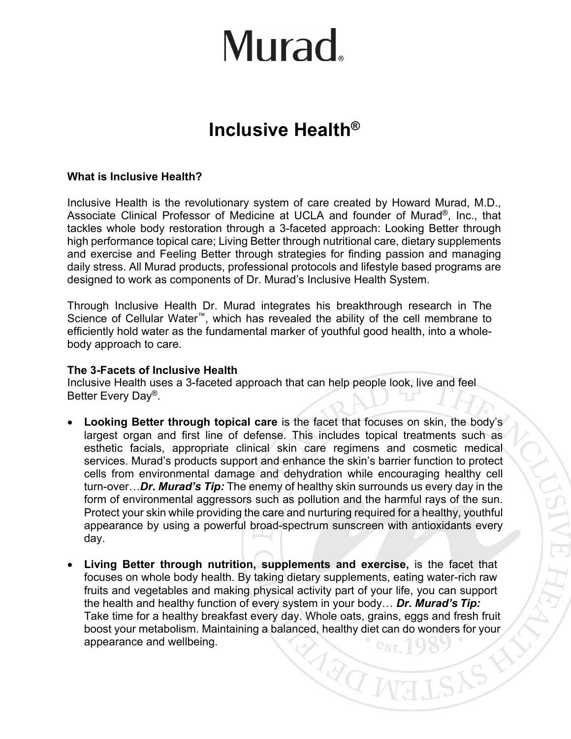# Murad.

### **Inclusive Health®**

### **What is Inclusive Health?**

Inclusive Health is the revolutionary system of care created by Howard Murad, M.D., Associate Clinical Professor of Medicine at UCLA and founder of Murad®, Inc., that tackles whole body restoration through a 3-faceted approach: Looking Better through high performance topical care; Living Better through nutritional care, dietary supplements and exercise and Feeling Better through strategies for finding passion and managing daily stress. All Murad products, professional protocols and lifestyle based programs are designed to work as components of Dr. Murad's Inclusive Health System.

Through Inclusive Health Dr. Murad integrates his breakthrough research in The Science of Cellular Water™, which has revealed the ability of the cell membrane to efficiently hold water as the fundamental marker of youthful good health, into a wholebody approach to care.

#### **The 3-Facets of Inclusive Health**

Inclusive Health uses a 3-faceted approach that can help people look, live and feel Better Every Day®.

- **Looking Better through topical care** is the facet that focuses on skin, the body's largest organ and first line of defense. This includes topical treatments such as esthetic facials, appropriate clinical skin care regimens and cosmetic medical services. Murad's products support and enhance the skin's barrier function to protect cells from environmental damage and dehydration while encouraging healthy cell turn-over…*Dr. Murad's Tip:* The enemy of healthy skin surrounds us every day in the form of environmental aggressors such as pollution and the harmful rays of the sun. Protect your skin while providing the care and nurturing required for a healthy, youthful appearance by using a powerful broad-spectrum sunscreen with antioxidants every day.
- **Living Better through nutrition, supplements and exercise,** is the facet that focuses on whole body health. By taking dietary supplements, eating water-rich raw fruits and vegetables and making physical activity part of your life, you can support the health and healthy function of every system in your body… *Dr. Murad's Tip:* Take time for a healthy breakfast every day. Whole oats, grains, eggs and fresh fruit boost your metabolism. Maintaining a balanced, healthy diet can do wonders for your appearance and wellbeing.ARON